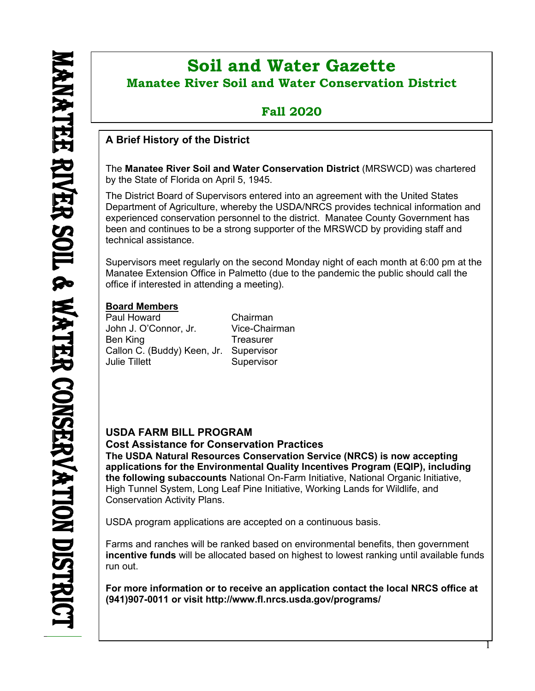ı

# **Soil and Water Gazette Manatee River Soil and Water Conservation District**

## **Fall 2020**

## **A Brief History of the District**

The **Manatee River Soil and Water Conservation District** (MRSWCD) was chartered by the State of Florida on April 5, 1945.

The District Board of Supervisors entered into an agreement with the United States Department of Agriculture, whereby the USDA/NRCS provides technical information and experienced conservation personnel to the district. Manatee County Government has been and continues to be a strong supporter of the MRSWCD by providing staff and technical assistance.

Supervisors meet regularly on the second Monday night of each month at 6:00 pm at the Manatee Extension Office in Palmetto (due to the pandemic the public should call the office if interested in attending a meeting).

## **Board Members**

Paul Howard Chairman John J. O'Connor, Jr. Vice-Chairman Ben King **Treasurer** Callon C. (Buddy) Keen, Jr. Supervisor Julie Tillett Supervisor

## **USDA FARM BILL PROGRAM**

**Cost Assistance for Conservation Practices The USDA Natural Resources Conservation Service (NRCS) is now accepting applications for the Environmental Quality Incentives Program (EQIP), including the following subaccounts** National On-Farm Initiative, National Organic Initiative, High Tunnel System, Long Leaf Pine Initiative, Working Lands for Wildlife, and Conservation Activity Plans.

USDA program applications are accepted on a continuous basis.

Farms and ranches will be ranked based on environmental benefits, then government **incentive funds** will be allocated based on highest to lowest ranking until available funds run out.

**For more information or to receive an application contact the local NRCS office at (941)907-0011 or visit <http://www.fl.nrcs.usda.gov/programs/>**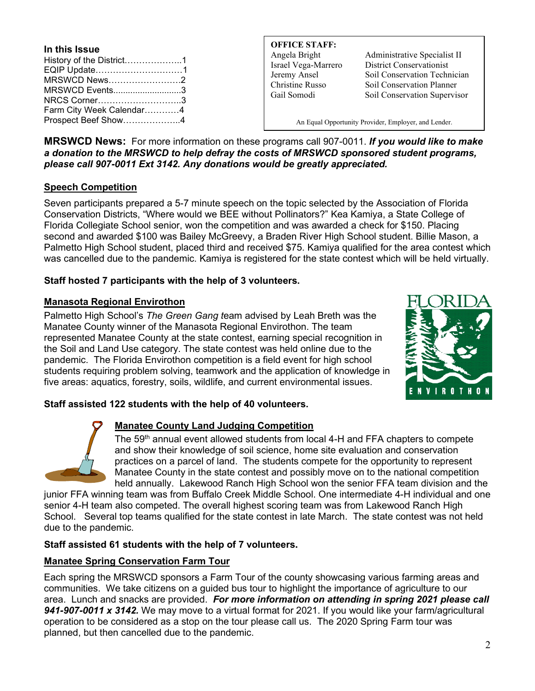| In this Issue            |  |
|--------------------------|--|
| History of the District1 |  |
| EQIP Update1             |  |
| MRSWCD News2             |  |
| MRSWCD Events3           |  |
| NRCS Corner3             |  |
| Farm City Week Calendar4 |  |
| Prospect Beef Show4      |  |

**OFFICE STAFF:**

Angela Bright Administrative Specialist II Israel Vega-Marrero District Conservationist Jeremy Ansel Soil Conservation Technician Christine Russo Soil Conservation Planner Gail Somodi Soil Conservation Supervisor

An Equal Opportunity Provider, Employer, and Lender.

**MRSWCD News:** For more information on these programs call 907-0011. *If you would like to make a donation to the MRSWCD to help defray the costs of MRSWCD sponsored student programs, please call 907-0011 Ext 3142. Any donations would be greatly appreciated.*

## **Speech Competition**

Seven participants prepared a 5-7 minute speech on the topic selected by the Association of Florida Conservation Districts, "Where would we BEE without Pollinators?" Kea Kamiya, a State College of Florida Collegiate School senior, won the competition and was awarded a check for \$150. Placing second and awarded \$100 was Bailey McGreevy, a Braden River High School student. Billie Mason, a Palmetto High School student, placed third and received \$75. Kamiya qualified for the area contest which was cancelled due to the pandemic. Kamiya is registered for the state contest which will be held virtually.

## **Staff hosted 7 participants with the help of 3 volunteers.**

## **Manasota Regional Envirothon**

Palmetto High School's *The Green Gang t*eam advised by Leah Breth was the Manatee County winner of the Manasota Regional Envirothon. The team represented Manatee County at the state contest, earning special recognition in the Soil and Land Use category. The state contest was held online due to the pandemic. The Florida Envirothon competition is a field event for high school students requiring problem solving, teamwork and the application of knowledge in five areas: aquatics, forestry, soils, wildlife, and current environmental issues.



## **Staff assisted 122 students with the help of 40 volunteers.**



## **Manatee County Land Judging Competition**

The 59<sup>th</sup> annual event allowed students from local 4-H and FFA chapters to compete and show their knowledge of soil science, home site evaluation and conservation practices on a parcel of land. The students compete for the opportunity to represent Manatee County in the state contest and possibly move on to the national competition held annually. Lakewood Ranch High School won the senior FFA team division and the

junior FFA winning team was from Buffalo Creek Middle School. One intermediate 4-H individual and one senior 4-H team also competed. The overall highest scoring team was from Lakewood Ranch High School. Several top teams qualified for the state contest in late March. The state contest was not held due to the pandemic.

## **Staff assisted 61 students with the help of 7 volunteers.**

## **Manatee Spring Conservation Farm Tour**

Each spring the MRSWCD sponsors a Farm Tour of the county showcasing various farming areas and communities. We take citizens on a guided bus tour to highlight the importance of agriculture to our area. Lunch and snacks are provided. *For more information on attending in spring 2021 please call 941-907-0011 x 3142.* We may move to a virtual format for 2021. If you would like your farm/agricultural operation to be considered as a stop on the tour please call us. The 2020 Spring Farm tour was planned, but then cancelled due to the pandemic.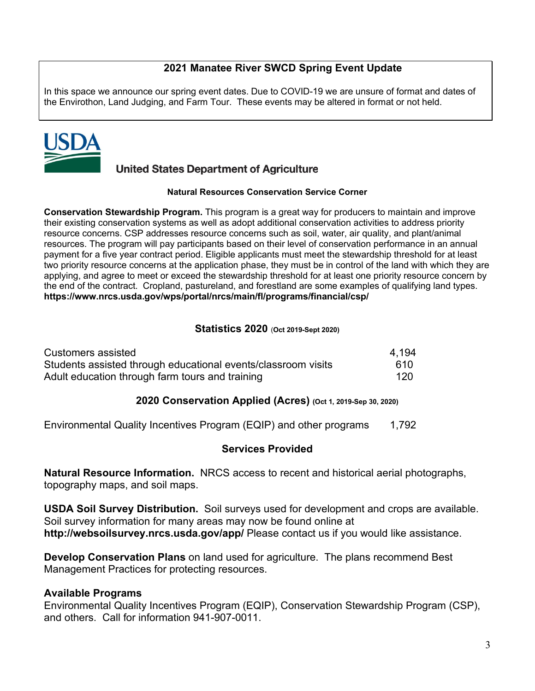## **2021 Manatee River SWCD Spring Event Update**

In this space we announce our spring event dates. Due to COVID-19 we are unsure of format and dates of the Envirothon, Land Judging, and Farm Tour. These events may be altered in format or not held.



## **United States Department of Agriculture**

#### **Natural Resources Conservation Service Corner**

**Conservation Stewardship Program.** This program is a great way for producers to maintain and improve their existing conservation systems as well as adopt additional conservation activities to address priority resource concerns. CSP addresses resource concerns such as soil, water, air quality, and plant/animal resources. The program will pay participants based on their level of conservation performance in an annual payment for a five year contract period. Eligible applicants must meet the stewardship threshold for at least two priority resource concerns at the application phase, they must be in control of the land with which they are applying, and agree to meet or exceed the stewardship threshold for at least one priority resource concern by the end of the contract. Cropland, pastureland, and forestland are some examples of qualifying land types. **<https://www.nrcs.usda.gov/wps/portal/nrcs/main/fl/programs/financial/csp/>**

## **Statistics 2020** (**Oct 2019-Sept 2020)**

| Customers assisted                                            | 4.194 |
|---------------------------------------------------------------|-------|
| Students assisted through educational events/classroom visits | 610.  |
| Adult education through farm tours and training               | 120   |

## **2020 Conservation Applied (Acres) (Oct 1, 2019-Sep 30, 2020)**

Environmental Quality Incentives Program (EQIP) and other programs 1,792

## **Services Provided**

**Natural Resource Information.** NRCS access to recent and historical aerial photographs, topography maps, and soil maps.

**USDA Soil Survey Distribution.** Soil surveys used for development and crops are available. Soil survey information for many areas may now be found online at **<http://websoilsurvey.nrcs.usda.gov/app/>** Please contact us if you would like assistance.

**Develop Conservation Plans** on land used for agriculture. The plans recommend Best Management Practices for protecting resources.

## **Available Programs**

Environmental Quality Incentives Program (EQIP), Conservation Stewardship Program (CSP), and others. Call for information 941-907-0011.